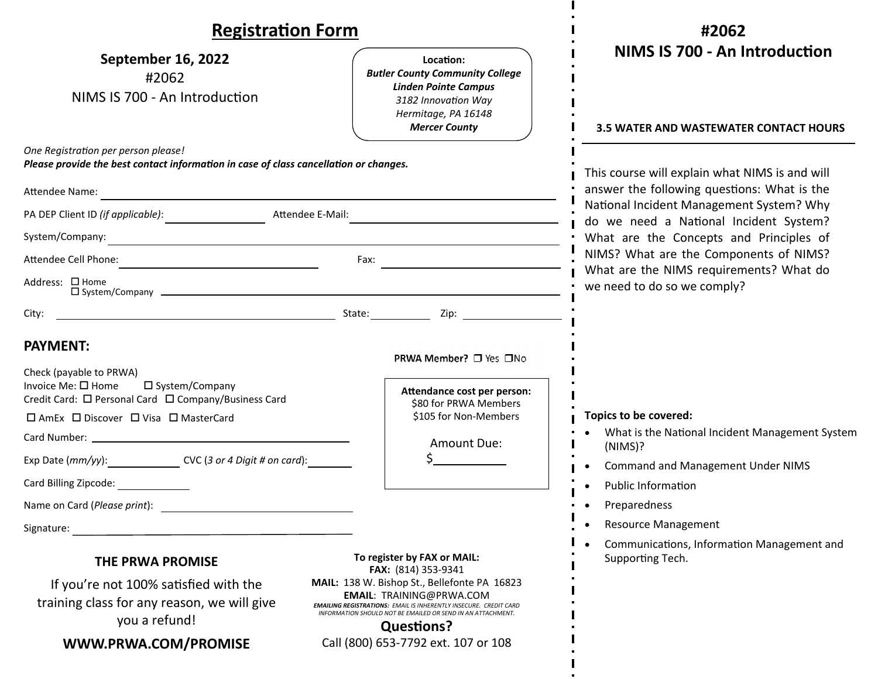| <b>Registration Form</b>                                                                                                                                                                                                                                                                                                       |                                                                                                                                                                                                                                                                                                                                              | #2062                                                                                                                                                                                                                                                                                                                                              |
|--------------------------------------------------------------------------------------------------------------------------------------------------------------------------------------------------------------------------------------------------------------------------------------------------------------------------------|----------------------------------------------------------------------------------------------------------------------------------------------------------------------------------------------------------------------------------------------------------------------------------------------------------------------------------------------|----------------------------------------------------------------------------------------------------------------------------------------------------------------------------------------------------------------------------------------------------------------------------------------------------------------------------------------------------|
| <b>September 16, 2022</b><br>#2062<br>NIMS IS 700 - An Introduction                                                                                                                                                                                                                                                            | Location:<br><b>Butler County Community College</b><br><b>Linden Pointe Campus</b><br>3182 Innovation Way<br>Hermitage, PA 16148<br><b>Mercer County</b>                                                                                                                                                                                     | NIMS IS 700 - An Introduction<br><b>3.5 WATER AND WASTEWATER CONTACT HOURS</b>                                                                                                                                                                                                                                                                     |
| One Registration per person please!<br>Please provide the best contact information in case of class cancellation or changes.<br>Attendee Name:<br><u> 1989 - Johann Barbara, martin amerikan basal da</u>                                                                                                                      |                                                                                                                                                                                                                                                                                                                                              | This course will explain what NIMS is and will<br>answer the following questions: What is the<br>National Incident Management System? Why<br>do we need a National Incident System?<br>What are the Concepts and Principles of<br>NIMS? What are the Components of NIMS?<br>What are the NIMS requirements? What do<br>we need to do so we comply? |
| PA DEP Client ID (if applicable):<br>Attendee E-Mail:<br>System/Company:<br><u> 1980 - Andrea Andrew Maria (h. 1980).</u>                                                                                                                                                                                                      |                                                                                                                                                                                                                                                                                                                                              |                                                                                                                                                                                                                                                                                                                                                    |
| Attendee Cell Phone:<br>Fax:<br>Address: □ Home<br>$\Box$ System/Company $\Box$                                                                                                                                                                                                                                                |                                                                                                                                                                                                                                                                                                                                              |                                                                                                                                                                                                                                                                                                                                                    |
| City:<br><u> 1989 - Johann Stein, marwolaethau a bhann an t-Amhair an t-Amhair an t-Amhair an t-Amhair an t-Amhair an t-A</u><br><b>PAYMENT:</b><br>Check (payable to PRWA)<br>Invoice Me: $\square$ Home<br>□ System/Company<br>Credit Card: □ Personal Card □ Company/Business Card<br>□ AmEx □ Discover □ Visa □ MasterCard | State: <u>University Zip: Zip: 25</u><br>PRWA Member? □ Yes □No<br>Attendance cost per person:<br>\$80 for PRWA Members<br>\$105 for Non-Members<br>Amount Due:                                                                                                                                                                              | Topics to be covered:<br>What is the National Incident Management System                                                                                                                                                                                                                                                                           |
| Exp Date (mm/yy): _____________________ CVC (3 or 4 Digit # on card): _________<br>Card Billing Zipcode:<br>Name on Card (Please print):<br>Signature:                                                                                                                                                                         |                                                                                                                                                                                                                                                                                                                                              | (NIMS)?<br><b>Command and Management Under NIMS</b><br><b>Public Information</b><br>Preparedness<br><b>Resource Management</b><br>$\bullet$<br>Communications, Information Management and                                                                                                                                                          |
| <b>THE PRWA PROMISE</b><br>If you're not 100% satisfied with the<br>training class for any reason, we will give<br>you a refund!<br>WWW.PRWA.COM/PROMISE                                                                                                                                                                       | To register by FAX or MAIL:<br>FAX: (814) 353-9341<br>MAIL: 138 W. Bishop St., Bellefonte PA 16823<br><b>EMAIL: TRAINING@PRWA.COM</b><br><b>EMAILING REGISTRATIONS: EMAIL IS INHERENTLY INSECURE. CREDIT CARD</b><br>INFORMATION SHOULD NOT BE EMAILED OR SEND IN AN ATTACHMENT.<br><b>Questions?</b><br>Call (800) 653-7792 ext. 107 or 108 | Supporting Tech.                                                                                                                                                                                                                                                                                                                                   |

L